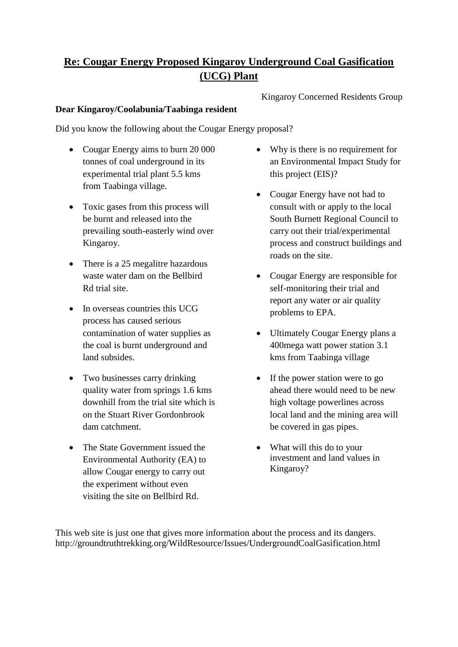## **Re: Cougar Energy Proposed Kingaroy Underground Coal Gasification (UCG) Plant**

Kingaroy Concerned Residents Group

## **Dear Kingaroy/Coolabunia/Taabinga resident**

Did you know the following about the Cougar Energy proposal?

- Cougar Energy aims to burn 20 000 tonnes of coal underground in its experimental trial plant 5.5 kms from Taabinga village.
- Toxic gases from this process will be burnt and released into the prevailing south-easterly wind over Kingaroy.
- There is a 25 megalitre hazardous waste water dam on the Bellbird Rd trial site.
- $\bullet$  In overseas countries this UCG process has caused serious contamination of water supplies as the coal is burnt underground and land subsides.
- Two businesses carry drinking quality water from springs 1.6 kms downhill from the trial site which is on the Stuart River Gordonbrook dam catchment.
- The State Government issued the Environmental Authority (EA) to allow Cougar energy to carry out the experiment without even visiting the site on Bellbird Rd.
- Why is there is no requirement for an Environmental Impact Study for this project (EIS)?
- Cougar Energy have not had to consult with or apply to the local South Burnett Regional Council to carry out their trial/experimental process and construct buildings and roads on the site.
- Cougar Energy are responsible for self-monitoring their trial and report any water or air quality problems to EPA.
- Ultimately Cougar Energy plans a 400mega watt power station 3.1 kms from Taabinga village
- If the power station were to go ahead there would need to be new high voltage powerlines across local land and the mining area will be covered in gas pipes.
- What will this do to your investment and land values in Kingaroy?

This web site is just one that gives more information about the process and its dangers. http://groundtruthtrekking.org/WildResource/Issues/UndergroundCoalGasification.html